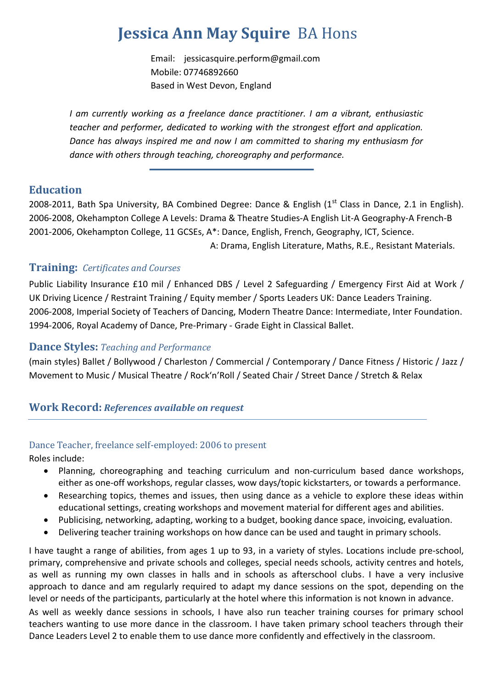# **Jessica Ann May Squire** BA Hons

Email: [jessicasquire.perform@gmail.com](mailto:jessicasquire.perform@gmail.com)  Mobile: 07746892660 Based in West Devon, England

*I am currently working as a freelance dance practitioner. I am a vibrant, enthusiastic teacher and performer, dedicated to working with the strongest effort and application. Dance has always inspired me and now I am committed to sharing my enthusiasm for dance with others through teaching, choreography and performance.*

## **Education**

2008-2011, Bath Spa University, BA Combined Degree: Dance & English ( $1<sup>st</sup>$  Class in Dance, 2.1 in English). 2006-2008, Okehampton College A Levels: Drama & Theatre Studies-A English Lit-A Geography-A French-B 2001-2006, Okehampton College, 11 GCSEs, A\*: Dance, English, French, Geography, ICT, Science. A: Drama, English Literature, Maths, R.E., Resistant Materials.

# **Training:** *Certificates and Courses*

Public Liability Insurance £10 mil / Enhanced DBS / Level 2 Safeguarding / Emergency First Aid at Work / UK Driving Licence / Restraint Training / Equity member / Sports Leaders UK: Dance Leaders Training. 2006-2008, Imperial Society of Teachers of Dancing, Modern Theatre Dance: Intermediate, Inter Foundation. 1994-2006, Royal Academy of Dance, Pre-Primary - Grade Eight in Classical Ballet.

### **Dance Styles:** *Teaching and Performance*

(main styles) Ballet / Bollywood / Charleston / Commercial / Contemporary / Dance Fitness / Historic / Jazz / Movement to Music / Musical Theatre / Rock'n'Roll / Seated Chair / Street Dance / Stretch & Relax

## **Work Record:** *References available on request*

## Dance Teacher, freelance self-employed: 2006 to present

Roles include:

- Planning, choreographing and teaching curriculum and non-curriculum based dance workshops, either as one-off workshops, regular classes, wow days/topic kickstarters, or towards a performance.
- Researching topics, themes and issues, then using dance as a vehicle to explore these ideas within educational settings, creating workshops and movement material for different ages and abilities.
- Publicising, networking, adapting, working to a budget, booking dance space, invoicing, evaluation.
- Delivering teacher training workshops on how dance can be used and taught in primary schools.

I have taught a range of abilities, from ages 1 up to 93, in a variety of styles. Locations include pre-school, primary, comprehensive and private schools and colleges, special needs schools, activity centres and hotels, as well as running my own classes in halls and in schools as afterschool clubs. I have a very inclusive approach to dance and am regularly required to adapt my dance sessions on the spot, depending on the level or needs of the participants, particularly at the hotel where this information is not known in advance.

As well as weekly dance sessions in schools, I have also run teacher training courses for primary school teachers wanting to use more dance in the classroom. I have taken primary school teachers through their Dance Leaders Level 2 to enable them to use dance more confidently and effectively in the classroom.